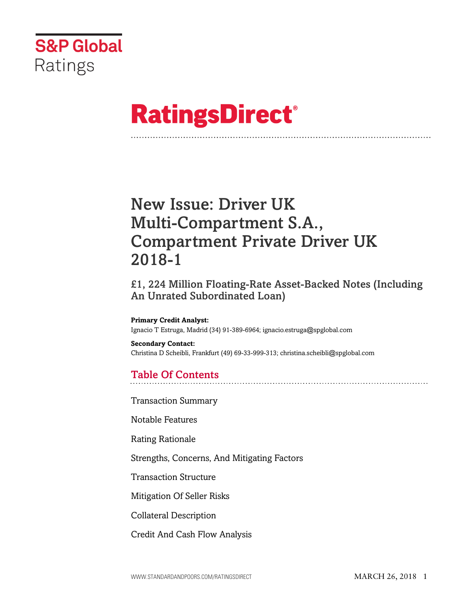

# **RatingsDirect®**

## New Issue: Driver UK Multi-Compartment S.A., Compartment Private Driver UK 2018-1

£1, 224 Million Floating-Rate Asset-Backed Notes (Including An Unrated Subordinated Loan)

**Primary Credit Analyst:** Ignacio T Estruga, Madrid (34) 91-389-6964; ignacio.estruga@spglobal.com

**Secondary Contact:** Christina D Scheibli, Frankfurt (49) 69-33-999-313; christina.scheibli@spglobal.com

## Table Of Contents

[Transaction Summary](#page-3-0)

[Notable Features](#page-3-1)

[Rating Rationale](#page-4-0)

[Strengths, Concerns, And Mitigating Factors](#page-6-0)

[Transaction Structure](#page-7-0)

[Mitigation Of Seller Risks](#page-12-0)

[Collateral Description](#page-12-1)

[Credit And Cash Flow Analysis](#page-14-0)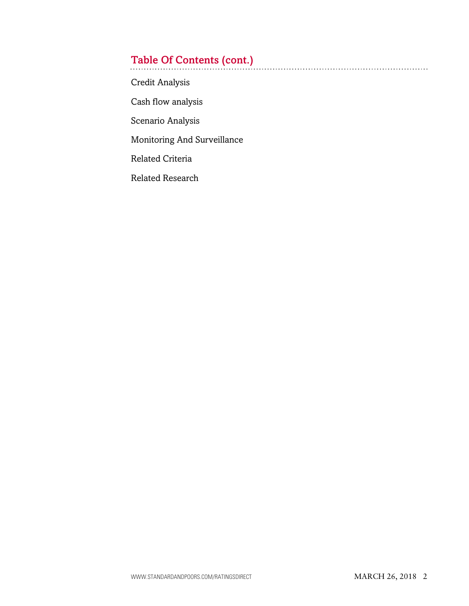## Table Of Contents (cont.)

[Credit Analysis](#page-14-1)

[Cash flow analysis](#page-19-0)

[Scenario Analysis](#page-20-0)

[Monitoring And Surveillance](#page-22-0)

[Related Criteria](#page-23-0)

[Related Research](#page-23-1)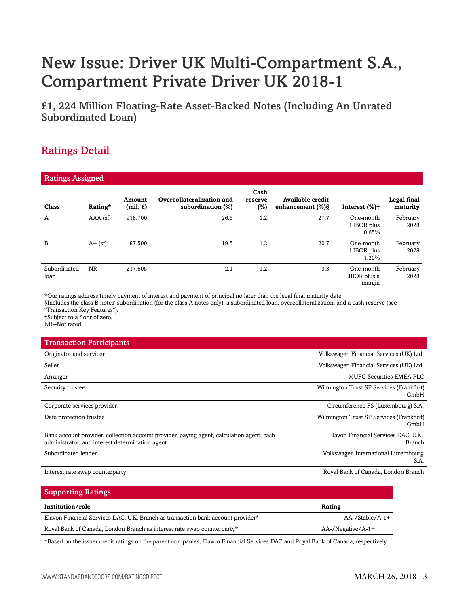## New Issue: Driver UK Multi-Compartment S.A., Compartment Private Driver UK 2018-1

£1, 224 Million Floating-Rate Asset-Backed Notes (Including An Unrated Subordinated Loan)

## Ratings Detail

| <b>Ratings Assigned</b> |            |                   |                                                |                        |                                         |                                     |                         |  |  |
|-------------------------|------------|-------------------|------------------------------------------------|------------------------|-----------------------------------------|-------------------------------------|-------------------------|--|--|
| Class                   | Rating*    | Amount<br>(min f) | Overcollateralization and<br>subordination (%) | Cash<br>reserve<br>(%) | Available credit<br>enhancement $(\%)\$ | Interest (%)+                       | Legal final<br>maturity |  |  |
| A                       | $AAA$ (sf) | 918.700           | 26.5                                           | 1.2                    | 27.7                                    | One-month<br>LIBOR plus<br>0.65%    | February<br>2028        |  |  |
| B                       | $A + (sf)$ | 87.500            | 19.5                                           | 1.2                    | 20.7                                    | One-month<br>LIBOR plus<br>1.20%    | February<br>2028        |  |  |
| Subordinated<br>loan    | <b>NR</b>  | 217.605           | 2.1                                            | 1.2                    | 3.3                                     | One-month<br>LIBOR plus a<br>margin | February<br>2028        |  |  |

\*Our ratings address timely payment of interest and payment of principal no later than the legal final maturity date.

§Includes the class B notes' subordination (for the class A notes only), a subordinated loan, overcollateralization, and a cash reserve (see "Transaction Key Features").

†Subject to a floor of zero.

NR--Not rated.

## Transaction Participants Originator and servicer Volkswagen Financial Services (UK) Ltd. Seller Volkswagen Financial Services (UK) Ltd. Arranger MUFG Securities EMEA PLC Security trustee Wilmington Trust SP Services (Frankfurt) Corporate services provider Circumference FS (Luxembourg) S.A. Data protection trustee Wilmington Trust SP Services (Frankfurt) Bank account provider, collection account provider, paying agent, calculation agent, cash administrator, and interest determination agent Elavon Financial Services DAC, U.K. Subordinated lender Volkswagen International Luxembourg

Interest rate swap counterparty **State State State State State State State State State State State State State State State State State State State State State State State State State State State State State State State Sta** 

#### Supporting Ratings

| Institution/role                                                                 | Rating                   |
|----------------------------------------------------------------------------------|--------------------------|
| Elavon Financial Services DAC, U.K. Branch as transaction bank account provider* | $AA$ -/Stable/ $A-1+$    |
| Royal Bank of Canada, London Branch as interest rate swap counterparty*          | $AA$ -/Negative/ $A$ -1+ |

\*Based on the issuer credit ratings on the parent companies, Elavon Financial Services DAC and Royal Bank of Canada, respectively.

GmbH

GmbH

Branch

S.A.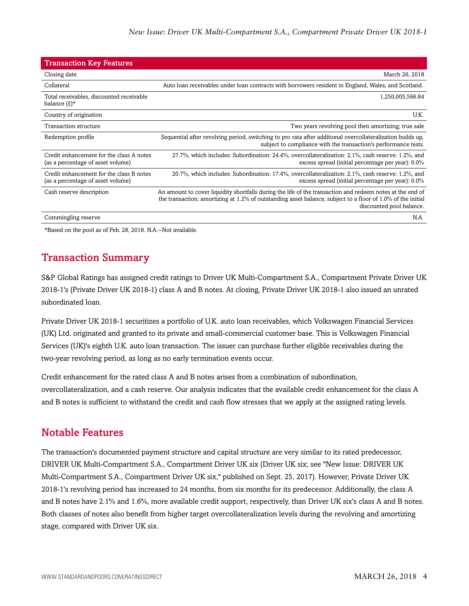| <b>Transaction Key Features</b>                                               |                                                                                                                                                                                                                                                      |
|-------------------------------------------------------------------------------|------------------------------------------------------------------------------------------------------------------------------------------------------------------------------------------------------------------------------------------------------|
| Closing date                                                                  | March 26, 2018                                                                                                                                                                                                                                       |
| Collateral                                                                    | Auto loan receivables under loan contracts with borrowers resident in England, Wales, and Scotland.                                                                                                                                                  |
| Total receivables, discounted receivable<br>balance $(E)^*$                   | 1,250,005,566.84                                                                                                                                                                                                                                     |
| Country of origination                                                        | U.K.                                                                                                                                                                                                                                                 |
| Transaction structure                                                         | Two years revolving pool then amortizing; true sale                                                                                                                                                                                                  |
| Redemption profile                                                            | Sequential after revolving period, switching to pro rata after additional overcollateralization builds up,<br>subject to compliance with the transaction's performance tests.                                                                        |
| Credit enhancement for the class A notes<br>(as a percentage of asset volume) | 27.7%, which includes: Subordination: 24.4%, overcollateralization: 2.1%, cash reserve: 1.2%, and<br>excess spread (initial percentage per year): 0.0%                                                                                               |
| Credit enhancement for the class B notes<br>(as a percentage of asset volume) | 20.7%, which includes: Subordination: 17.4%, overcollateralization: 2.1%, cash reserve: 1.2%, and<br>excess spread (initial percentage per year): 0.0%                                                                                               |
| Cash reserve description                                                      | An amount to cover liquidity shortfalls during the life of the transaction and redeem notes at the end of<br>the transaction; amortizing at 1.2% of outstanding asset balance, subject to a floor of 1.0% of the initial<br>discounted pool balance. |
| Commingling reserve                                                           | N.A.                                                                                                                                                                                                                                                 |

<span id="page-3-0"></span>\*Based on the pool as of Feb. 28, 2018. N.A.--Not available.

## Transaction Summary

S&P Global Ratings has assigned credit ratings to Driver UK Multi-Compartment S.A., Compartment Private Driver UK 2018-1's (Private Driver UK 2018-1) class A and B notes. At closing, Private Driver UK 2018-1 also issued an unrated subordinated loan.

Private Driver UK 2018-1 securitizes a portfolio of U.K. auto loan receivables, which Volkswagen Financial Services (UK) Ltd. originated and granted to its private and small-commercial customer base. This is Volkswagen Financial Services (UK)'s eighth U.K. auto loan transaction. The issuer can purchase further eligible receivables during the two-year revolving period, as long as no early termination events occur.

Credit enhancement for the rated class A and B notes arises from a combination of subordination, overcollateralization, and a cash reserve. Our analysis indicates that the available credit enhancement for the class A and B notes is sufficient to withstand the credit and cash flow stresses that we apply at the assigned rating levels.

## <span id="page-3-1"></span>Notable Features

The transaction's documented payment structure and capital structure are very similar to its rated predecessor, DRIVER UK Multi-Compartment S.A., Compartment Driver UK six (Driver UK six; see "New Issue: DRIVER UK Multi-Compartment S.A., Compartment Driver UK six," published on Sept. 25, 2017). However, Private Driver UK 2018-1's revolving period has increased to 24 months, from six months for its predecessor. Additionally, the class A and B notes have 2.1% and 1.6%, more available credit support, respectively, than Driver UK six's class A and B notes. Both classes of notes also benefit from higher target overcollateralization levels during the revolving and amortizing stage, compared with Driver UK six.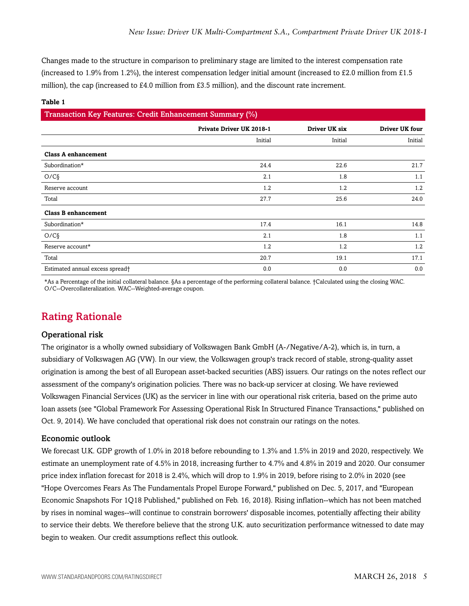Changes made to the structure in comparison to preliminary stage are limited to the interest compensation rate (increased to 1.9% from 1.2%), the interest compensation ledger initial amount (increased to £2.0 million from £1.5 million), the cap (increased to £4.0 million from £3.5 million), and the discount rate increment.

#### **Table 1**

#### Transaction Key Features: Credit Enhancement Summary (%)

| . .                             | .                        |               |                |
|---------------------------------|--------------------------|---------------|----------------|
|                                 | Private Driver UK 2018-1 | Driver UK six | Driver UK four |
|                                 | Initial                  | Initial       | Initial        |
| <b>Class A enhancement</b>      |                          |               |                |
| Subordination*                  | 24.4                     | 22.6          | 21.7           |
| O/C <sub>9</sub>                | 2.1                      | 1.8           | 1.1            |
| Reserve account                 | 1.2                      | 1.2           | 1.2            |
| Total                           | 27.7                     | 25.6          | 24.0           |
| <b>Class B enhancement</b>      |                          |               |                |
| Subordination*                  | 17.4                     | 16.1          | 14.8           |
| O/C <sub>9</sub>                | 2.1                      | 1.8           | 1.1            |
| Reserve account*                | 1.2                      | 1.2           | 1.2            |
| Total                           | 20.7                     | 19.1          | 17.1           |
| Estimated annual excess spread† | 0.0                      | 0.0           | 0.0            |

\*As a Percentage of the initial collateral balance. §As a percentage of the performing collateral balance. †Calculated using the closing WAC. O/C--Overcollateralization. WAC--Weighted-average coupon.

### <span id="page-4-0"></span>Rating Rationale

#### Operational risk

The originator is a wholly owned subsidiary of Volkswagen Bank GmbH (A-/Negative/A-2), which is, in turn, a subsidiary of Volkswagen AG (VW). In our view, the Volkswagen group's track record of stable, strong-quality asset origination is among the best of all European asset-backed securities (ABS) issuers. Our ratings on the notes reflect our assessment of the company's origination policies. There was no back-up servicer at closing. We have reviewed Volkswagen Financial Services (UK) as the servicer in line with our operational risk criteria, based on the prime auto loan assets (see "Global Framework For Assessing Operational Risk In Structured Finance Transactions," published on Oct. 9, 2014). We have concluded that operational risk does not constrain our ratings on the notes.

#### Economic outlook

We forecast U.K. GDP growth of 1.0% in 2018 before rebounding to 1.3% and 1.5% in 2019 and 2020, respectively. We estimate an unemployment rate of 4.5% in 2018, increasing further to 4.7% and 4.8% in 2019 and 2020. Our consumer price index inflation forecast for 2018 is 2.4%, which will drop to 1.9% in 2019, before rising to 2.0% in 2020 (see "Hope Overcomes Fears As The Fundamentals Propel Europe Forward," published on Dec. 5, 2017, and "European Economic Snapshots For 1Q18 Published," published on Feb. 16, 2018). Rising inflation--which has not been matched by rises in nominal wages--will continue to constrain borrowers' disposable incomes, potentially affecting their ability to service their debts. We therefore believe that the strong U.K. auto securitization performance witnessed to date may begin to weaken. Our credit assumptions reflect this outlook.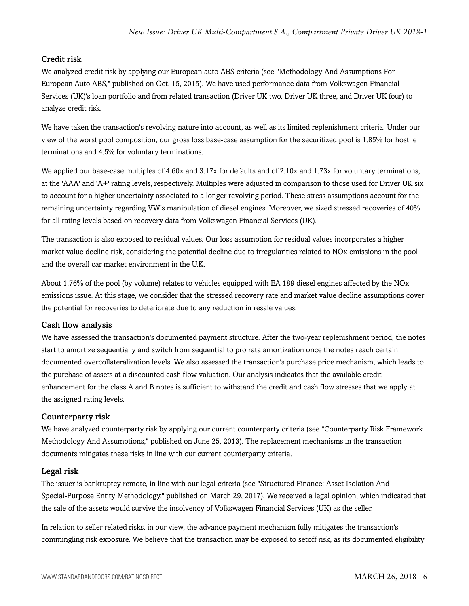#### Credit risk

We analyzed credit risk by applying our European auto ABS criteria (see "Methodology And Assumptions For European Auto ABS," published on Oct. 15, 2015). We have used performance data from Volkswagen Financial Services (UK)'s loan portfolio and from related transaction (Driver UK two, Driver UK three, and Driver UK four) to analyze credit risk.

We have taken the transaction's revolving nature into account, as well as its limited replenishment criteria. Under our view of the worst pool composition, our gross loss base-case assumption for the securitized pool is 1.85% for hostile terminations and 4.5% for voluntary terminations.

We applied our base-case multiples of 4.60x and 3.17x for defaults and of 2.10x and 1.73x for voluntary terminations, at the 'AAA' and 'A+' rating levels, respectively. Multiples were adjusted in comparison to those used for Driver UK six to account for a higher uncertainty associated to a longer revolving period. These stress assumptions account for the remaining uncertainty regarding VW's manipulation of diesel engines. Moreover, we sized stressed recoveries of 40% for all rating levels based on recovery data from Volkswagen Financial Services (UK).

The transaction is also exposed to residual values. Our loss assumption for residual values incorporates a higher market value decline risk, considering the potential decline due to irregularities related to NOx emissions in the pool and the overall car market environment in the U.K.

About 1.76% of the pool (by volume) relates to vehicles equipped with EA 189 diesel engines affected by the NOx emissions issue. At this stage, we consider that the stressed recovery rate and market value decline assumptions cover the potential for recoveries to deteriorate due to any reduction in resale values.

#### Cash flow analysis

We have assessed the transaction's documented payment structure. After the two-year replenishment period, the notes start to amortize sequentially and switch from sequential to pro rata amortization once the notes reach certain documented overcollateralization levels. We also assessed the transaction's purchase price mechanism, which leads to the purchase of assets at a discounted cash flow valuation. Our analysis indicates that the available credit enhancement for the class A and B notes is sufficient to withstand the credit and cash flow stresses that we apply at the assigned rating levels.

#### Counterparty risk

We have analyzed counterparty risk by applying our current counterparty criteria (see "Counterparty Risk Framework Methodology And Assumptions," published on June 25, 2013). The replacement mechanisms in the transaction documents mitigates these risks in line with our current counterparty criteria.

#### Legal risk

The issuer is bankruptcy remote, in line with our legal criteria (see "Structured Finance: Asset Isolation And Special-Purpose Entity Methodology," published on March 29, 2017). We received a legal opinion, which indicated that the sale of the assets would survive the insolvency of Volkswagen Financial Services (UK) as the seller.

In relation to seller related risks, in our view, the advance payment mechanism fully mitigates the transaction's commingling risk exposure. We believe that the transaction may be exposed to setoff risk, as its documented eligibility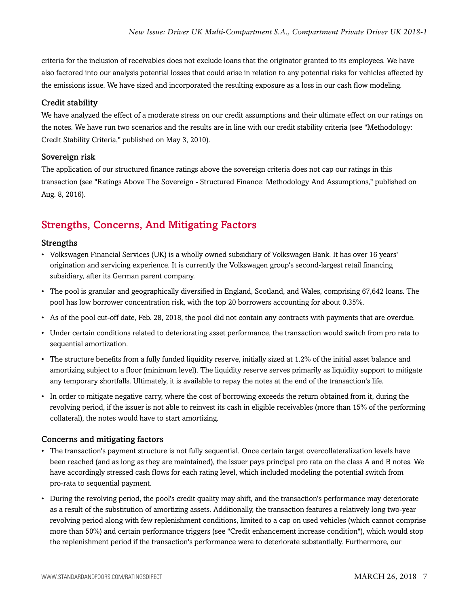criteria for the inclusion of receivables does not exclude loans that the originator granted to its employees. We have also factored into our analysis potential losses that could arise in relation to any potential risks for vehicles affected by the emissions issue. We have sized and incorporated the resulting exposure as a loss in our cash flow modeling.

#### Credit stability

We have analyzed the effect of a moderate stress on our credit assumptions and their ultimate effect on our ratings on the notes. We have run two scenarios and the results are in line with our credit stability criteria (see "Methodology: Credit Stability Criteria," published on May 3, 2010).

#### Sovereign risk

The application of our structured finance ratings above the sovereign criteria does not cap our ratings in this transaction (see "Ratings Above The Sovereign - Structured Finance: Methodology And Assumptions," published on Aug. 8, 2016).

## <span id="page-6-0"></span>Strengths, Concerns, And Mitigating Factors

#### Strengths

- Volkswagen Financial Services (UK) is a wholly owned subsidiary of Volkswagen Bank. It has over 16 years' origination and servicing experience. It is currently the Volkswagen group's second-largest retail financing subsidiary, after its German parent company.
- The pool is granular and geographically diversified in England, Scotland, and Wales, comprising 67,642 loans. The pool has low borrower concentration risk, with the top 20 borrowers accounting for about 0.35%.
- As of the pool cut-off date, Feb. 28, 2018, the pool did not contain any contracts with payments that are overdue.
- Under certain conditions related to deteriorating asset performance, the transaction would switch from pro rata to sequential amortization.
- The structure benefits from a fully funded liquidity reserve, initially sized at 1.2% of the initial asset balance and amortizing subject to a floor (minimum level). The liquidity reserve serves primarily as liquidity support to mitigate any temporary shortfalls. Ultimately, it is available to repay the notes at the end of the transaction's life.
- In order to mitigate negative carry, where the cost of borrowing exceeds the return obtained from it, during the revolving period, if the issuer is not able to reinvest its cash in eligible receivables (more than 15% of the performing collateral), the notes would have to start amortizing.

#### Concerns and mitigating factors

- The transaction's payment structure is not fully sequential. Once certain target overcollateralization levels have been reached (and as long as they are maintained), the issuer pays principal pro rata on the class A and B notes. We have accordingly stressed cash flows for each rating level, which included modeling the potential switch from pro-rata to sequential payment.
- During the revolving period, the pool's credit quality may shift, and the transaction's performance may deteriorate as a result of the substitution of amortizing assets. Additionally, the transaction features a relatively long two-year revolving period along with few replenishment conditions, limited to a cap on used vehicles (which cannot comprise more than 50%) and certain performance triggers (see "Credit enhancement increase condition"), which would stop the replenishment period if the transaction's performance were to deteriorate substantially. Furthermore, our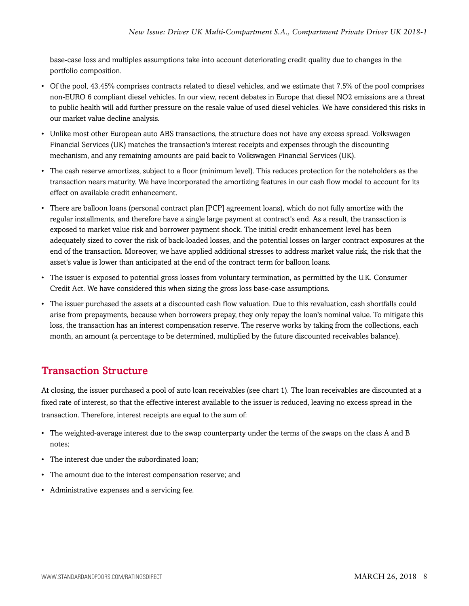base-case loss and multiples assumptions take into account deteriorating credit quality due to changes in the portfolio composition.

- Of the pool, 43.45% comprises contracts related to diesel vehicles, and we estimate that 7.5% of the pool comprises non-EURO 6 compliant diesel vehicles. In our view, recent debates in Europe that diesel NO2 emissions are a threat to public health will add further pressure on the resale value of used diesel vehicles. We have considered this risks in our market value decline analysis.
- Unlike most other European auto ABS transactions, the structure does not have any excess spread. Volkswagen Financial Services (UK) matches the transaction's interest receipts and expenses through the discounting mechanism, and any remaining amounts are paid back to Volkswagen Financial Services (UK).
- The cash reserve amortizes, subject to a floor (minimum level). This reduces protection for the noteholders as the transaction nears maturity. We have incorporated the amortizing features in our cash flow model to account for its effect on available credit enhancement.
- There are balloon loans (personal contract plan [PCP] agreement loans), which do not fully amortize with the regular installments, and therefore have a single large payment at contract's end. As a result, the transaction is exposed to market value risk and borrower payment shock. The initial credit enhancement level has been adequately sized to cover the risk of back-loaded losses, and the potential losses on larger contract exposures at the end of the transaction. Moreover, we have applied additional stresses to address market value risk, the risk that the asset's value is lower than anticipated at the end of the contract term for balloon loans.
- The issuer is exposed to potential gross losses from voluntary termination, as permitted by the U.K. Consumer Credit Act. We have considered this when sizing the gross loss base-case assumptions.
- The issuer purchased the assets at a discounted cash flow valuation. Due to this revaluation, cash shortfalls could arise from prepayments, because when borrowers prepay, they only repay the loan's nominal value. To mitigate this loss, the transaction has an interest compensation reserve. The reserve works by taking from the collections, each month, an amount (a percentage to be determined, multiplied by the future discounted receivables balance).

## <span id="page-7-0"></span>Transaction Structure

At closing, the issuer purchased a pool of auto loan receivables (see chart 1). The loan receivables are discounted at a fixed rate of interest, so that the effective interest available to the issuer is reduced, leaving no excess spread in the transaction. Therefore, interest receipts are equal to the sum of:

- The weighted-average interest due to the swap counterparty under the terms of the swaps on the class A and B notes;
- The interest due under the subordinated loan;
- The amount due to the interest compensation reserve; and
- Administrative expenses and a servicing fee.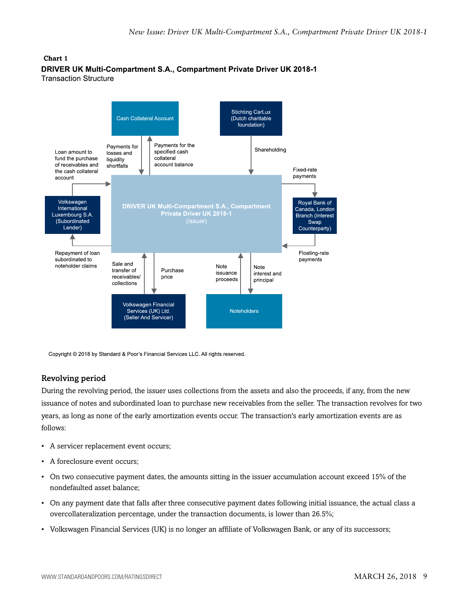#### **Chart 1** DRIVER UK Multi-Compartment S.A., Compartment Private Driver UK 2018-1 **Transaction Structure**



Copyright @ 2018 by Standard & Poor's Financial Services LLC. All rights reserved.

#### Revolving period

During the revolving period, the issuer uses collections from the assets and also the proceeds, if any, from the new issuance of notes and subordinated loan to purchase new receivables from the seller. The transaction revolves for two years, as long as none of the early amortization events occur. The transaction's early amortization events are as follows:

- A servicer replacement event occurs;
- A foreclosure event occurs;
- On two consecutive payment dates, the amounts sitting in the issuer accumulation account exceed 15% of the nondefaulted asset balance;
- On any payment date that falls after three consecutive payment dates following initial issuance, the actual class a overcollateralization percentage, under the transaction documents, is lower than 26.5%;
- Volkswagen Financial Services (UK) is no longer an affiliate of Volkswagen Bank, or any of its successors;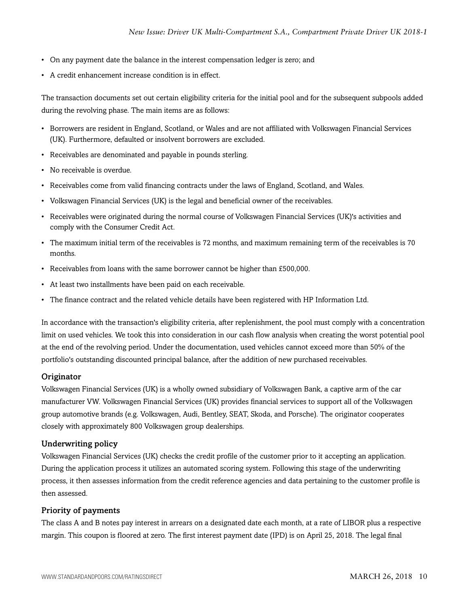- On any payment date the balance in the interest compensation ledger is zero; and
- A credit enhancement increase condition is in effect.

The transaction documents set out certain eligibility criteria for the initial pool and for the subsequent subpools added during the revolving phase. The main items are as follows:

- Borrowers are resident in England, Scotland, or Wales and are not affiliated with Volkswagen Financial Services (UK). Furthermore, defaulted or insolvent borrowers are excluded.
- Receivables are denominated and payable in pounds sterling.
- No receivable is overdue.
- Receivables come from valid financing contracts under the laws of England, Scotland, and Wales.
- Volkswagen Financial Services (UK) is the legal and beneficial owner of the receivables.
- Receivables were originated during the normal course of Volkswagen Financial Services (UK)'s activities and comply with the Consumer Credit Act.
- The maximum initial term of the receivables is 72 months, and maximum remaining term of the receivables is 70 months.
- Receivables from loans with the same borrower cannot be higher than £500,000.
- At least two installments have been paid on each receivable.
- The finance contract and the related vehicle details have been registered with HP Information Ltd.

In accordance with the transaction's eligibility criteria, after replenishment, the pool must comply with a concentration limit on used vehicles. We took this into consideration in our cash flow analysis when creating the worst potential pool at the end of the revolving period. Under the documentation, used vehicles cannot exceed more than 50% of the portfolio's outstanding discounted principal balance, after the addition of new purchased receivables.

#### **Originator**

Volkswagen Financial Services (UK) is a wholly owned subsidiary of Volkswagen Bank, a captive arm of the car manufacturer VW. Volkswagen Financial Services (UK) provides financial services to support all of the Volkswagen group automotive brands (e.g. Volkswagen, Audi, Bentley, SEAT, Skoda, and Porsche). The originator cooperates closely with approximately 800 Volkswagen group dealerships.

#### Underwriting policy

Volkswagen Financial Services (UK) checks the credit profile of the customer prior to it accepting an application. During the application process it utilizes an automated scoring system. Following this stage of the underwriting process, it then assesses information from the credit reference agencies and data pertaining to the customer profile is then assessed.

#### Priority of payments

The class A and B notes pay interest in arrears on a designated date each month, at a rate of LIBOR plus a respective margin. This coupon is floored at zero. The first interest payment date (IPD) is on April 25, 2018. The legal final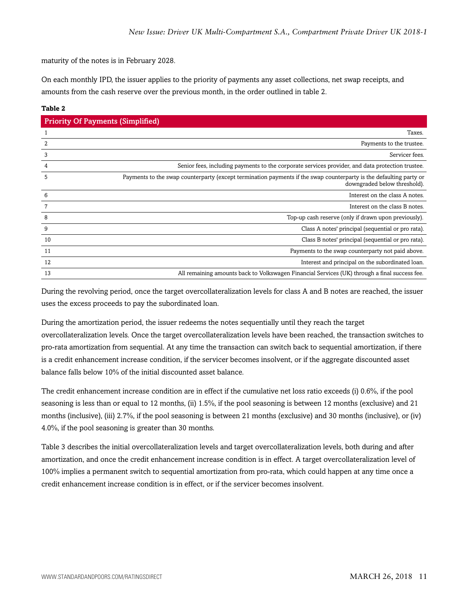maturity of the notes is in February 2028.

On each monthly IPD, the issuer applies to the priority of payments any asset collections, net swap receipts, and amounts from the cash reserve over the previous month, in the order outlined in table 2.

#### **Table 2**

| <b>Priority Of Payments (Simplified)</b> |                                                                                                                                                    |
|------------------------------------------|----------------------------------------------------------------------------------------------------------------------------------------------------|
|                                          | Taxes.                                                                                                                                             |
|                                          | Payments to the trustee.                                                                                                                           |
| 3                                        | Servicer fees.                                                                                                                                     |
|                                          | Senior fees, including payments to the corporate services provider, and data protection trustee.                                                   |
| 5                                        | Payments to the swap counterparty (except termination payments if the swap counterparty is the defaulting party or<br>downgraded below threshold). |
| 6                                        | Interest on the class A notes.                                                                                                                     |
|                                          | Interest on the class B notes.                                                                                                                     |
| 8                                        | Top-up cash reserve (only if drawn upon previously).                                                                                               |
| 9                                        | Class A notes' principal (sequential or pro rata).                                                                                                 |
| 10                                       | Class B notes' principal (sequential or pro rata).                                                                                                 |
| 11                                       | Payments to the swap counterparty not paid above.                                                                                                  |
| 12                                       | Interest and principal on the subordinated loan.                                                                                                   |
| 13                                       | All remaining amounts back to Volkswagen Financial Services (UK) through a final success fee.                                                      |

During the revolving period, once the target overcollateralization levels for class A and B notes are reached, the issuer uses the excess proceeds to pay the subordinated loan.

During the amortization period, the issuer redeems the notes sequentially until they reach the target overcollateralization levels. Once the target overcollateralization levels have been reached, the transaction switches to pro-rata amortization from sequential. At any time the transaction can switch back to sequential amortization, if there is a credit enhancement increase condition, if the servicer becomes insolvent, or if the aggregate discounted asset balance falls below 10% of the initial discounted asset balance.

The credit enhancement increase condition are in effect if the cumulative net loss ratio exceeds (i) 0.6%, if the pool seasoning is less than or equal to 12 months, (ii) 1.5%, if the pool seasoning is between 12 months (exclusive) and 21 months (inclusive), (iii) 2.7%, if the pool seasoning is between 21 months (exclusive) and 30 months (inclusive), or (iv) 4.0%, if the pool seasoning is greater than 30 months.

Table 3 describes the initial overcollateralization levels and target overcollateralization levels, both during and after amortization, and once the credit enhancement increase condition is in effect. A target overcollateralization level of 100% implies a permanent switch to sequential amortization from pro-rata, which could happen at any time once a credit enhancement increase condition is in effect, or if the servicer becomes insolvent.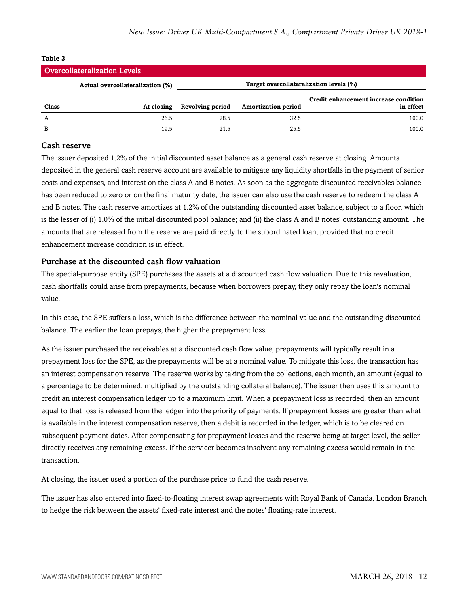| <b>Overcollateralization Levels</b> |                                  |                                         |                            |                                                    |  |  |  |
|-------------------------------------|----------------------------------|-----------------------------------------|----------------------------|----------------------------------------------------|--|--|--|
|                                     | Actual overcollateralization (%) | Target overcollateralization levels (%) |                            |                                                    |  |  |  |
| Class                               | At closing                       | <b>Revolving period</b>                 | <b>Amortization period</b> | Credit enhancement increase condition<br>in effect |  |  |  |
| A                                   | 26.5                             | 28.5                                    | 32.5                       | 100.0                                              |  |  |  |
| B                                   | 19.5                             | 21.5                                    | 25.5                       | 100.0                                              |  |  |  |

#### **Table 3**

#### Cash reserve

The issuer deposited 1.2% of the initial discounted asset balance as a general cash reserve at closing. Amounts deposited in the general cash reserve account are available to mitigate any liquidity shortfalls in the payment of senior costs and expenses, and interest on the class A and B notes. As soon as the aggregate discounted receivables balance has been reduced to zero or on the final maturity date, the issuer can also use the cash reserve to redeem the class A and B notes. The cash reserve amortizes at 1.2% of the outstanding discounted asset balance, subject to a floor, which is the lesser of (i) 1.0% of the initial discounted pool balance; and (ii) the class A and B notes' outstanding amount. The amounts that are released from the reserve are paid directly to the subordinated loan, provided that no credit enhancement increase condition is in effect.

#### Purchase at the discounted cash flow valuation

The special-purpose entity (SPE) purchases the assets at a discounted cash flow valuation. Due to this revaluation, cash shortfalls could arise from prepayments, because when borrowers prepay, they only repay the loan's nominal value.

In this case, the SPE suffers a loss, which is the difference between the nominal value and the outstanding discounted balance. The earlier the loan prepays, the higher the prepayment loss.

As the issuer purchased the receivables at a discounted cash flow value, prepayments will typically result in a prepayment loss for the SPE, as the prepayments will be at a nominal value. To mitigate this loss, the transaction has an interest compensation reserve. The reserve works by taking from the collections, each month, an amount (equal to a percentage to be determined, multiplied by the outstanding collateral balance). The issuer then uses this amount to credit an interest compensation ledger up to a maximum limit. When a prepayment loss is recorded, then an amount equal to that loss is released from the ledger into the priority of payments. If prepayment losses are greater than what is available in the interest compensation reserve, then a debit is recorded in the ledger, which is to be cleared on subsequent payment dates. After compensating for prepayment losses and the reserve being at target level, the seller directly receives any remaining excess. If the servicer becomes insolvent any remaining excess would remain in the transaction.

At closing, the issuer used a portion of the purchase price to fund the cash reserve.

The issuer has also entered into fixed-to-floating interest swap agreements with Royal Bank of Canada, London Branch to hedge the risk between the assets' fixed-rate interest and the notes' floating-rate interest.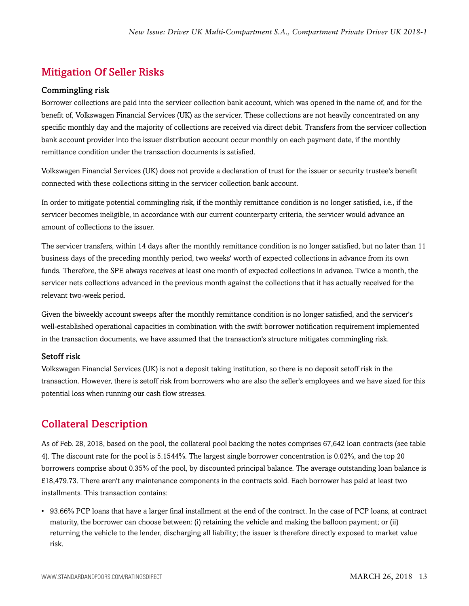## <span id="page-12-0"></span>Mitigation Of Seller Risks

#### Commingling risk

Borrower collections are paid into the servicer collection bank account, which was opened in the name of, and for the benefit of, Volkswagen Financial Services (UK) as the servicer. These collections are not heavily concentrated on any specific monthly day and the majority of collections are received via direct debit. Transfers from the servicer collection bank account provider into the issuer distribution account occur monthly on each payment date, if the monthly remittance condition under the transaction documents is satisfied.

Volkswagen Financial Services (UK) does not provide a declaration of trust for the issuer or security trustee's benefit connected with these collections sitting in the servicer collection bank account.

In order to mitigate potential commingling risk, if the monthly remittance condition is no longer satisfied, i.e., if the servicer becomes ineligible, in accordance with our current counterparty criteria, the servicer would advance an amount of collections to the issuer.

The servicer transfers, within 14 days after the monthly remittance condition is no longer satisfied, but no later than 11 business days of the preceding monthly period, two weeks' worth of expected collections in advance from its own funds. Therefore, the SPE always receives at least one month of expected collections in advance. Twice a month, the servicer nets collections advanced in the previous month against the collections that it has actually received for the relevant two-week period.

Given the biweekly account sweeps after the monthly remittance condition is no longer satisfied, and the servicer's well-established operational capacities in combination with the swift borrower notification requirement implemented in the transaction documents, we have assumed that the transaction's structure mitigates commingling risk.

#### Setoff risk

Volkswagen Financial Services (UK) is not a deposit taking institution, so there is no deposit setoff risk in the transaction. However, there is setoff risk from borrowers who are also the seller's employees and we have sized for this potential loss when running our cash flow stresses.

## <span id="page-12-1"></span>Collateral Description

As of Feb. 28, 2018, based on the pool, the collateral pool backing the notes comprises 67,642 loan contracts (see table 4). The discount rate for the pool is 5.1544%. The largest single borrower concentration is 0.02%, and the top 20 borrowers comprise about 0.35% of the pool, by discounted principal balance. The average outstanding loan balance is £18,479.73. There aren't any maintenance components in the contracts sold. Each borrower has paid at least two installments. This transaction contains:

• 93.66% PCP loans that have a larger final installment at the end of the contract. In the case of PCP loans, at contract maturity, the borrower can choose between: (i) retaining the vehicle and making the balloon payment; or (ii) returning the vehicle to the lender, discharging all liability; the issuer is therefore directly exposed to market value risk.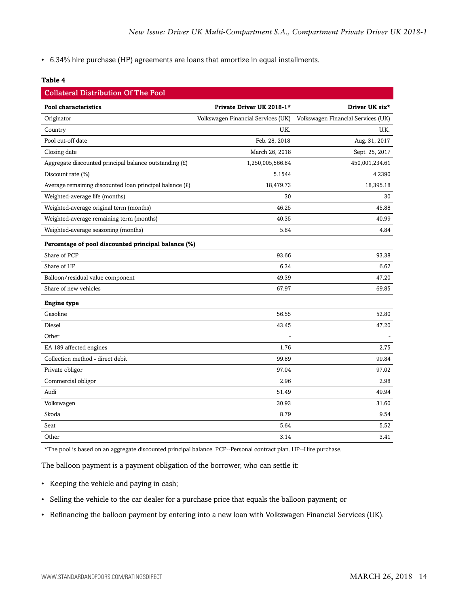• 6.34% hire purchase (HP) agreements are loans that amortize in equal installments.

#### **Table 4**

| <b>Collateral Distribution Of The Pool</b>              |                                    |                                    |
|---------------------------------------------------------|------------------------------------|------------------------------------|
| <b>Pool characteristics</b>                             | Private Driver UK 2018-1*          | Driver UK six*                     |
| Originator                                              | Volkswagen Financial Services (UK) | Volkswagen Financial Services (UK) |
| Country                                                 | U.K.                               | U.K.                               |
| Pool cut-off date                                       | Feb. 28, 2018                      | Aug. 31, 2017                      |
| Closing date                                            | March 26, 2018                     | Sept. 25, 2017                     |
| Aggregate discounted principal balance outstanding (£)  | 1,250,005,566.84                   | 450,001,234.61                     |
| Discount rate (%)                                       | 5.1544                             | 4.2390                             |
| Average remaining discounted loan principal balance (£) | 18,479.73                          | 18,395.18                          |
| Weighted-average life (months)                          | 30                                 | 30                                 |
| Weighted-average original term (months)                 | 46.25                              | 45.88                              |
| Weighted-average remaining term (months)                | 40.35                              | 40.99                              |
| Weighted-average seasoning (months)                     | 5.84                               | 4.84                               |
| Percentage of pool discounted principal balance (%)     |                                    |                                    |
| Share of PCP                                            | 93.66                              | 93.38                              |
| Share of HP                                             | 6.34                               | 6.62                               |
| Balloon/residual value component                        | 49.39                              | 47.20                              |
| Share of new vehicles                                   | 67.97                              | 69.85                              |
| <b>Engine type</b>                                      |                                    |                                    |
| Gasoline                                                | 56.55                              | 52.80                              |
| Diesel                                                  | 43.45                              | 47.20                              |
| Other                                                   |                                    |                                    |
| EA 189 affected engines                                 | 1.76                               | 2.75                               |
| Collection method - direct debit                        | 99.89                              | 99.84                              |
| Private obligor                                         | 97.04                              | 97.02                              |
| Commercial obligor                                      | 2.96                               | 2.98                               |
| Audi                                                    | 51.49                              | 49.94                              |
| Volkswagen                                              | 30.93                              | 31.60                              |
| Skoda                                                   | 8.79                               | 9.54                               |
| Seat                                                    | 5.64                               | 5.52                               |
| Other                                                   | 3.14                               | 3.41                               |

\*The pool is based on an aggregate discounted principal balance. PCP--Personal contract plan. HP--Hire purchase.

The balloon payment is a payment obligation of the borrower, who can settle it:

- Keeping the vehicle and paying in cash;
- Selling the vehicle to the car dealer for a purchase price that equals the balloon payment; or
- Refinancing the balloon payment by entering into a new loan with Volkswagen Financial Services (UK).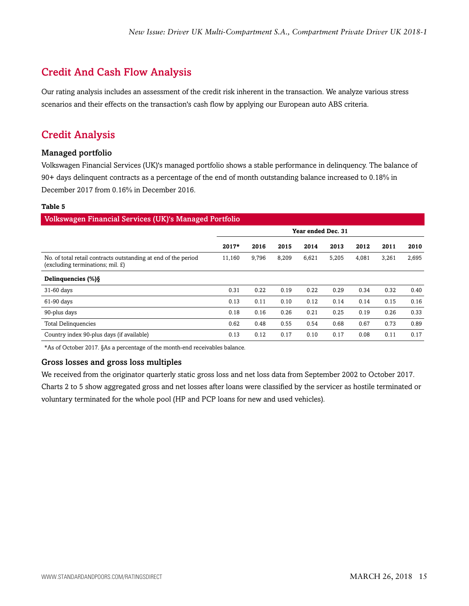## <span id="page-14-0"></span>Credit And Cash Flow Analysis

Our rating analysis includes an assessment of the credit risk inherent in the transaction. We analyze various stress scenarios and their effects on the transaction's cash flow by applying our European auto ABS criteria.

## <span id="page-14-1"></span>Credit Analysis

#### Managed portfolio

Volkswagen Financial Services (UK)'s managed portfolio shows a stable performance in delinquency. The balance of 90+ days delinquent contracts as a percentage of the end of month outstanding balance increased to 0.18% in December 2017 from 0.16% in December 2016.

#### **Table 5**

| Volkswagen Financial Services (UK)'s Managed Portfolio                                                  |                    |       |       |       |       |       |       |       |
|---------------------------------------------------------------------------------------------------------|--------------------|-------|-------|-------|-------|-------|-------|-------|
|                                                                                                         | Year ended Dec. 31 |       |       |       |       |       |       |       |
|                                                                                                         | $2017*$            | 2016  | 2015  | 2014  | 2013  | 2012  | 2011  | 2010  |
| No. of total retail contracts outstanding at end of the period<br>$(excluding$ terminations; mil. $E$ ) | 11,160             | 9,796 | 8,209 | 6,621 | 5,205 | 4,081 | 3,261 | 2,695 |
| Delinquencies (%) §                                                                                     |                    |       |       |       |       |       |       |       |
| 31-60 days                                                                                              | 0.31               | 0.22  | 0.19  | 0.22  | 0.29  | 0.34  | 0.32  | 0.40  |
| 61-90 days                                                                                              | 0.13               | 0.11  | 0.10  | 0.12  | 0.14  | 0.14  | 0.15  | 0.16  |
| 90-plus days                                                                                            | 0.18               | 0.16  | 0.26  | 0.21  | 0.25  | 0.19  | 0.26  | 0.33  |
| <b>Total Delinquencies</b>                                                                              | 0.62               | 0.48  | 0.55  | 0.54  | 0.68  | 0.67  | 0.73  | 0.89  |
| Country index 90-plus days (if available)                                                               | 0.13               | 0.12  | 0.17  | 0.10  | 0.17  | 0.08  | 0.11  | 0.17  |

\*As of October 2017. §As a percentage of the month-end receivables balance.

#### Gross losses and gross loss multiples

We received from the originator quarterly static gross loss and net loss data from September 2002 to October 2017.

Charts 2 to 5 show aggregated gross and net losses after loans were classified by the servicer as hostile terminated or voluntary terminated for the whole pool (HP and PCP loans for new and used vehicles).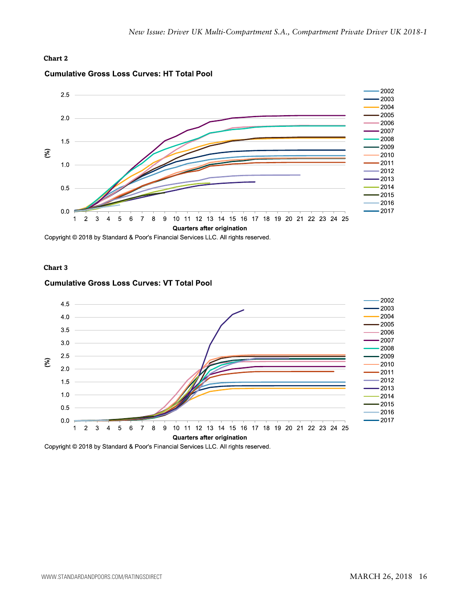#### **Chart 2**



#### **Cumulative Gross Loss Curves: HT Total Pool**

Copyright © 2018 by Standard & Poor's Financial Services LLC. All rights reserved.

#### **Chart 3**

#### **Cumulative Gross Loss Curves: VT Total Pool**



Copyright © 2018 by Standard & Poor's Financial Services LLC. All rights reserved.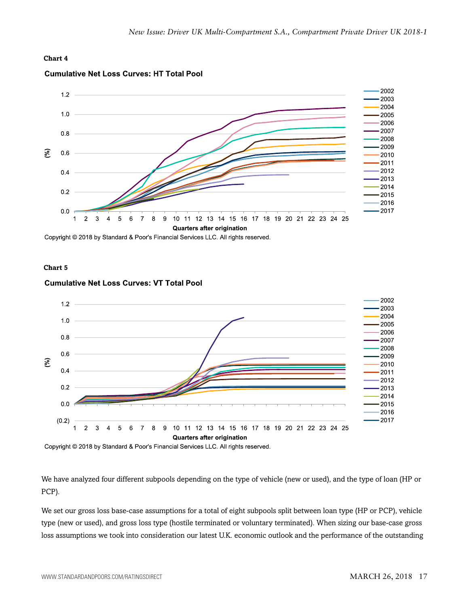#### **Chart 4**



#### **Cumulative Net Loss Curves: HT Total Pool**

Copyright © 2018 by Standard & Poor's Financial Services LLC. All rights reserved.

#### **Chart 5**



#### **Cumulative Net Loss Curves: VT Total Pool**

Copyright © 2018 by Standard & Poor's Financial Services LLC. All rights reserved.

We have analyzed four different subpools depending on the type of vehicle (new or used), and the type of loan (HP or PCP).

We set our gross loss base-case assumptions for a total of eight subpools split between loan type (HP or PCP), vehicle type (new or used), and gross loss type (hostile terminated or voluntary terminated). When sizing our base-case gross loss assumptions we took into consideration our latest U.K. economic outlook and the performance of the outstanding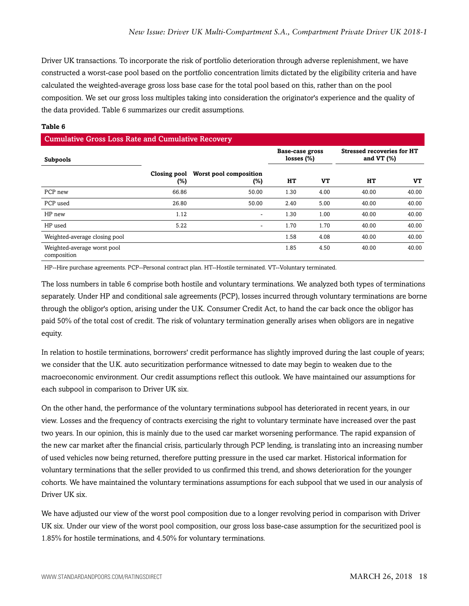Driver UK transactions. To incorporate the risk of portfolio deterioration through adverse replenishment, we have constructed a worst-case pool based on the portfolio concentration limits dictated by the eligibility criteria and have calculated the weighted-average gross loss base case for the total pool based on this, rather than on the pool composition. We set our gross loss multiples taking into consideration the originator's experience and the quality of the data provided. Table 6 summarizes our credit assumptions.

#### **Table 6**

#### Cumulative Gross Loss Rate and Cumulative Recovery

| <b>Subpools</b>                            |                     |                               | <b>Base-case gross</b><br>losses $(\%)$ |      | <b>Stressed recoveries for HT</b><br>and VT $(\%)$ |       |
|--------------------------------------------|---------------------|-------------------------------|-----------------------------------------|------|----------------------------------------------------|-------|
|                                            | Closing pool<br>(%) | Worst pool composition<br>(%) | HТ                                      | VT   | HТ                                                 | VT    |
| PCP new                                    | 66.86               | 50.00                         | 1.30                                    | 4.00 | 40.00                                              | 40.00 |
| PCP used                                   | 26.80               | 50.00                         | 2.40                                    | 5.00 | 40.00                                              | 40.00 |
| HP new                                     | 1.12                | ۰                             | 1.30                                    | 1.00 | 40.00                                              | 40.00 |
| HP used                                    | 5.22                | $\sim$                        | 1.70                                    | 1.70 | 40.00                                              | 40.00 |
| Weighted-average closing pool              |                     |                               | 1.58                                    | 4.08 | 40.00                                              | 40.00 |
| Weighted-average worst pool<br>composition |                     |                               | 1.85                                    | 4.50 | 40.00                                              | 40.00 |

HP--Hire purchase agreements. PCP--Personal contract plan. HT--Hostile terminated. VT--Voluntary terminated.

The loss numbers in table 6 comprise both hostile and voluntary terminations. We analyzed both types of terminations separately. Under HP and conditional sale agreements (PCP), losses incurred through voluntary terminations are borne through the obligor's option, arising under the U.K. Consumer Credit Act, to hand the car back once the obligor has paid 50% of the total cost of credit. The risk of voluntary termination generally arises when obligors are in negative equity.

In relation to hostile terminations, borrowers' credit performance has slightly improved during the last couple of years; we consider that the U.K. auto securitization performance witnessed to date may begin to weaken due to the macroeconomic environment. Our credit assumptions reflect this outlook. We have maintained our assumptions for each subpool in comparison to Driver UK six.

On the other hand, the performance of the voluntary terminations subpool has deteriorated in recent years, in our view. Losses and the frequency of contracts exercising the right to voluntary terminate have increased over the past two years. In our opinion, this is mainly due to the used car market worsening performance. The rapid expansion of the new car market after the financial crisis, particularly through PCP lending, is translating into an increasing number of used vehicles now being returned, therefore putting pressure in the used car market. Historical information for voluntary terminations that the seller provided to us confirmed this trend, and shows deterioration for the younger cohorts. We have maintained the voluntary terminations assumptions for each subpool that we used in our analysis of Driver UK six.

We have adjusted our view of the worst pool composition due to a longer revolving period in comparison with Driver UK six. Under our view of the worst pool composition, our gross loss base-case assumption for the securitized pool is 1.85% for hostile terminations, and 4.50% for voluntary terminations.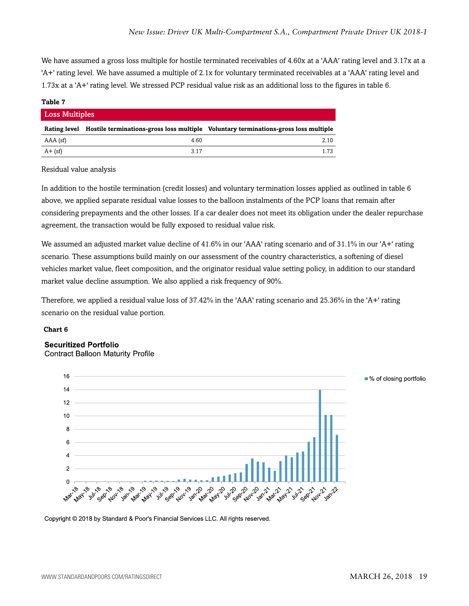We have assumed a gross loss multiple for hostile terminated receivables of 4.60x at a 'AAA' rating level and 3.17x at a 'A+' rating level. We have assumed a multiple of 2.1x for voluntary terminated receivables at a 'AAA' rating level and 1.73x at a 'A+' rating level. We stressed PCP residual value risk as an additional loss to the figures in table 6.

#### **Table 7**

| <b>Loss Multiples</b> |      |                                                                                                  |  |  |  |  |  |  |
|-----------------------|------|--------------------------------------------------------------------------------------------------|--|--|--|--|--|--|
|                       |      | Rating level Hostile terminations-gross loss multiple Voluntary terminations-gross loss multiple |  |  |  |  |  |  |
| AAA (sf)              | 4.60 | 2.10                                                                                             |  |  |  |  |  |  |
| $A + (sf)$            | 3.17 | 1 73                                                                                             |  |  |  |  |  |  |

Residual value analysis

In addition to the hostile termination (credit losses) and voluntary termination losses applied as outlined in table 6 above, we applied separate residual value losses to the balloon instalments of the PCP loans that remain after considering prepayments and the other losses. If a car dealer does not meet its obligation under the dealer repurchase agreement, the transaction would be fully exposed to residual value risk.

We assumed an adjusted market value decline of 41.6% in our 'AAA' rating scenario and of 31.1% in our 'A+' rating scenario. These assumptions build mainly on our assessment of the country characteristics, a softening of diesel vehicles market value, fleet composition, and the originator residual value setting policy, in addition to our standard market value decline assumption. We also applied a risk frequency of 90%.

Therefore, we applied a residual value loss of 37.42% in the 'AAA' rating scenario and 25.36% in the 'A+' rating scenario on the residual value portion.

#### **Chart 6**

#### **Securitized Portfolio**

**Contract Balloon Maturity Profile** 



Copyright © 2018 by Standard & Poor's Financial Services LLC. All rights reserved.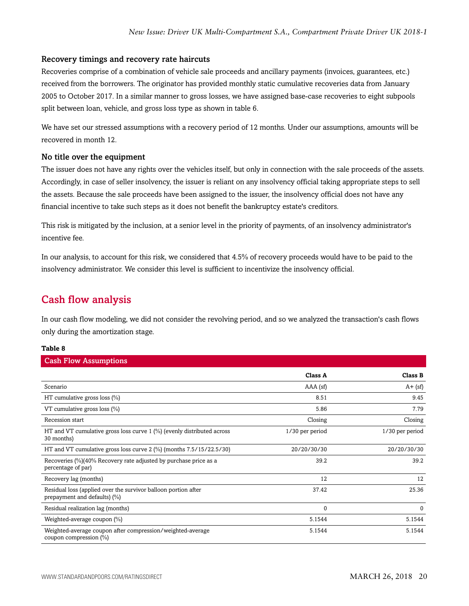#### Recovery timings and recovery rate haircuts

Recoveries comprise of a combination of vehicle sale proceeds and ancillary payments (invoices, guarantees, etc.) received from the borrowers. The originator has provided monthly static cumulative recoveries data from January 2005 to October 2017. In a similar manner to gross losses, we have assigned base-case recoveries to eight subpools split between loan, vehicle, and gross loss type as shown in table 6.

We have set our stressed assumptions with a recovery period of 12 months. Under our assumptions, amounts will be recovered in month 12.

#### No title over the equipment

The issuer does not have any rights over the vehicles itself, but only in connection with the sale proceeds of the assets. Accordingly, in case of seller insolvency, the issuer is reliant on any insolvency official taking appropriate steps to sell the assets. Because the sale proceeds have been assigned to the issuer, the insolvency official does not have any financial incentive to take such steps as it does not benefit the bankruptcy estate's creditors.

This risk is mitigated by the inclusion, at a senior level in the priority of payments, of an insolvency administrator's incentive fee.

In our analysis, to account for this risk, we considered that 4.5% of recovery proceeds would have to be paid to the insolvency administrator. We consider this level is sufficient to incentivize the insolvency official.

### <span id="page-19-0"></span>Cash flow analysis

In our cash flow modeling, we did not consider the revolving period, and so we analyzed the transaction's cash flows only during the amortization stage.

#### **Table 8**

| <b>Cash Flow Assumptions</b>                                                                   |                 |                 |
|------------------------------------------------------------------------------------------------|-----------------|-----------------|
|                                                                                                | <b>Class A</b>  | Class B         |
| Scenario                                                                                       | $AAA$ (sf)      | $A + (sf)$      |
| HT cumulative gross loss $(\%)$                                                                | 8.51            | 9.45            |
| VT cumulative gross loss $(\%)$                                                                | 5.86            | 7.79            |
| Recession start                                                                                | Closing         | Closing         |
| HT and VT cumulative gross loss curve $1\frac{1}{2}$ (evenly distributed across<br>30 months)  | 1/30 per period | 1/30 per period |
| HT and VT cumulative gross loss curve $2$ (%) (months $7.5/15/22.5/30$ )                       | 20/20/30/30     | 20/20/30/30     |
| Recoveries (%)(40% Recovery rate adjusted by purchase price as a<br>percentage of par)         | 39.2            | 39.2            |
| Recovery lag (months)                                                                          | 12              | 12              |
| Residual loss (applied over the survivor balloon portion after<br>prepayment and defaults) (%) | 37.42           | 25.36           |
| Residual realization lag (months)                                                              | 0               | $\Omega$        |
| Weighted-average coupon (%)                                                                    | 5.1544          | 5.1544          |
| Weighted-average coupon after compression/weighted-average<br>coupon compression (%)           | 5.1544          | 5.1544          |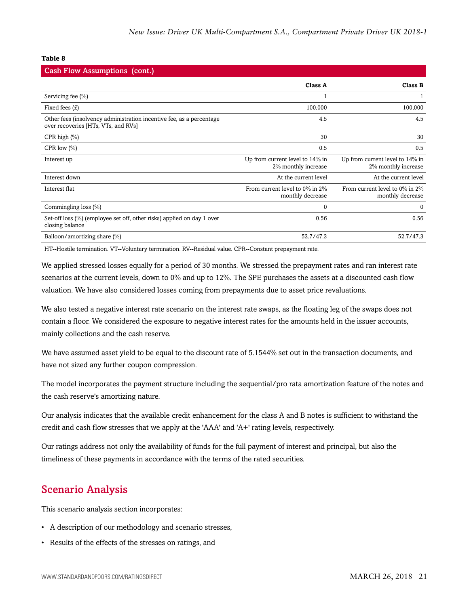#### **Table 8**

| <b>Cash Flow Assumptions (cont.)</b>                                                                        |                                                        |                                                        |
|-------------------------------------------------------------------------------------------------------------|--------------------------------------------------------|--------------------------------------------------------|
|                                                                                                             | Class A                                                | Class B                                                |
| Servicing fee $(\% )$                                                                                       |                                                        |                                                        |
| Fixed fees $(E)$                                                                                            | 100,000                                                | 100,000                                                |
| Other fees (insolvency administration incentive fee, as a percentage<br>over recoveries [HTs, VTs, and RVs] | 4.5                                                    | 4.5                                                    |
| CPR high $(\%)$                                                                                             | 30                                                     | 30                                                     |
| CPR low $(\%)$                                                                                              | 0.5                                                    | 0.5                                                    |
| Interest up                                                                                                 | Up from current level to 14% in<br>2% monthly increase | Up from current level to 14% in<br>2% monthly increase |
| Interest down                                                                                               | At the current level                                   | At the current level                                   |
| Interest flat                                                                                               | From current level to 0% in 2%<br>monthly decrease     | From current level to 0% in 2%<br>monthly decrease     |
| Commingling loss (%)                                                                                        | 0                                                      | $\mathbf 0$                                            |
| Set-off loss (%) (employee set off, other risks) applied on day 1 over<br>closing balance                   | 0.56                                                   | 0.56                                                   |
| Balloon/amortizing share (%)                                                                                | 52.7/47.3                                              | 52.7/47.3                                              |

HT--Hostile termination. VT--Voluntary termination. RV--Residual value. CPR--Constant prepayment rate.

We applied stressed losses equally for a period of 30 months. We stressed the prepayment rates and ran interest rate scenarios at the current levels, down to 0% and up to 12%. The SPE purchases the assets at a discounted cash flow valuation. We have also considered losses coming from prepayments due to asset price revaluations.

We also tested a negative interest rate scenario on the interest rate swaps, as the floating leg of the swaps does not contain a floor. We considered the exposure to negative interest rates for the amounts held in the issuer accounts, mainly collections and the cash reserve.

We have assumed asset yield to be equal to the discount rate of 5.1544% set out in the transaction documents, and have not sized any further coupon compression.

The model incorporates the payment structure including the sequential/pro rata amortization feature of the notes and the cash reserve's amortizing nature.

Our analysis indicates that the available credit enhancement for the class A and B notes is sufficient to withstand the credit and cash flow stresses that we apply at the 'AAA' and 'A+' rating levels, respectively.

Our ratings address not only the availability of funds for the full payment of interest and principal, but also the timeliness of these payments in accordance with the terms of the rated securities.

## <span id="page-20-0"></span>Scenario Analysis

This scenario analysis section incorporates:

- A description of our methodology and scenario stresses,
- Results of the effects of the stresses on ratings, and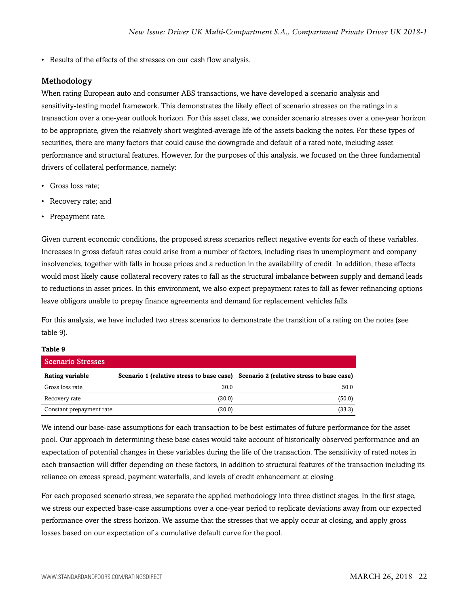• Results of the effects of the stresses on our cash flow analysis.

#### Methodology

When rating European auto and consumer ABS transactions, we have developed a scenario analysis and sensitivity-testing model framework. This demonstrates the likely effect of scenario stresses on the ratings in a transaction over a one-year outlook horizon. For this asset class, we consider scenario stresses over a one-year horizon to be appropriate, given the relatively short weighted-average life of the assets backing the notes. For these types of securities, there are many factors that could cause the downgrade and default of a rated note, including asset performance and structural features. However, for the purposes of this analysis, we focused on the three fundamental drivers of collateral performance, namely:

- Gross loss rate;
- Recovery rate; and
- Prepayment rate.

Given current economic conditions, the proposed stress scenarios reflect negative events for each of these variables. Increases in gross default rates could arise from a number of factors, including rises in unemployment and company insolvencies, together with falls in house prices and a reduction in the availability of credit. In addition, these effects would most likely cause collateral recovery rates to fall as the structural imbalance between supply and demand leads to reductions in asset prices. In this environment, we also expect prepayment rates to fall as fewer refinancing options leave obligors unable to prepay finance agreements and demand for replacement vehicles falls.

For this analysis, we have included two stress scenarios to demonstrate the transition of a rating on the notes (see table 9).

#### **Table 9**

| Scenario Stresses        |        |                                                                                     |
|--------------------------|--------|-------------------------------------------------------------------------------------|
| Rating variable          |        | Scenario 1 (relative stress to base case) Scenario 2 (relative stress to base case) |
| Gross loss rate          | 30.0   | 50.0                                                                                |
| Recovery rate            | (30.0) | (50.0)                                                                              |
| Constant prepayment rate | (20.0) | (33.3)                                                                              |

We intend our base-case assumptions for each transaction to be best estimates of future performance for the asset pool. Our approach in determining these base cases would take account of historically observed performance and an expectation of potential changes in these variables during the life of the transaction. The sensitivity of rated notes in each transaction will differ depending on these factors, in addition to structural features of the transaction including its reliance on excess spread, payment waterfalls, and levels of credit enhancement at closing.

For each proposed scenario stress, we separate the applied methodology into three distinct stages. In the first stage, we stress our expected base-case assumptions over a one-year period to replicate deviations away from our expected performance over the stress horizon. We assume that the stresses that we apply occur at closing, and apply gross losses based on our expectation of a cumulative default curve for the pool.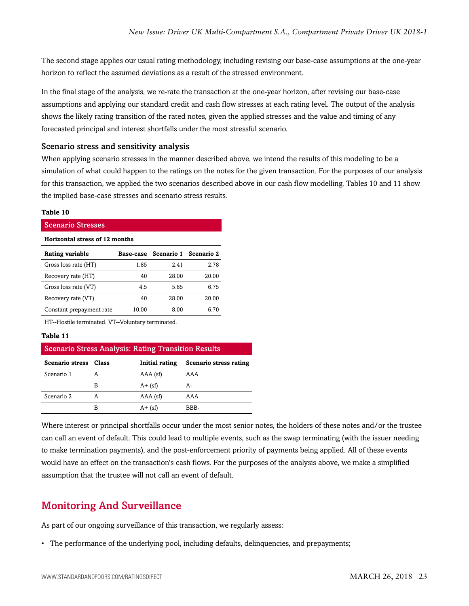The second stage applies our usual rating methodology, including revising our base-case assumptions at the one-year horizon to reflect the assumed deviations as a result of the stressed environment.

In the final stage of the analysis, we re-rate the transaction at the one-year horizon, after revising our base-case assumptions and applying our standard credit and cash flow stresses at each rating level. The output of the analysis shows the likely rating transition of the rated notes, given the applied stresses and the value and timing of any forecasted principal and interest shortfalls under the most stressful scenario.

#### Scenario stress and sensitivity analysis

When applying scenario stresses in the manner described above, we intend the results of this modeling to be a simulation of what could happen to the ratings on the notes for the given transaction. For the purposes of our analysis for this transaction, we applied the two scenarios described above in our cash flow modelling. Tables 10 and 11 show the implied base-case stresses and scenario stress results.

#### **Table 10**

Scenario Stresses **Horizontal stress of 12 months Rating variable Base-case Scenario 1 Scenario 2** Gross loss rate (HT) 1.85 2.41 2.78 Recovery rate (HT) 40 28.00 20.00 Gross loss rate (VT) 4.5 5.85 6.75 Recovery rate (VT) 40 28.00 20.00 Constant prepayment rate 10.00 8.00 6.70

HT--Hostile terminated. VT--Voluntary terminated.

#### **Table 11**

| <b>Scenario Stress Analysis: Rating Transition Results</b> |       |                |                        |  |
|------------------------------------------------------------|-------|----------------|------------------------|--|
| Scenario stress                                            | Class | Initial rating | Scenario stress rating |  |
| Scenario 1                                                 |       | $AAA$ (sf)     | AAA                    |  |
|                                                            | В     | $A + (sf)$     | А-                     |  |
| Scenario 2                                                 | А     | $AAA$ (sf)     | AAA                    |  |
|                                                            | В     | $A + (sf)$     | BBB-                   |  |

Where interest or principal shortfalls occur under the most senior notes, the holders of these notes and/or the trustee can call an event of default. This could lead to multiple events, such as the swap terminating (with the issuer needing to make termination payments), and the post-enforcement priority of payments being applied. All of these events would have an effect on the transaction's cash flows. For the purposes of the analysis above, we make a simplified assumption that the trustee will not call an event of default.

## <span id="page-22-0"></span>Monitoring And Surveillance

As part of our ongoing surveillance of this transaction, we regularly assess:

• The performance of the underlying pool, including defaults, delinquencies, and prepayments;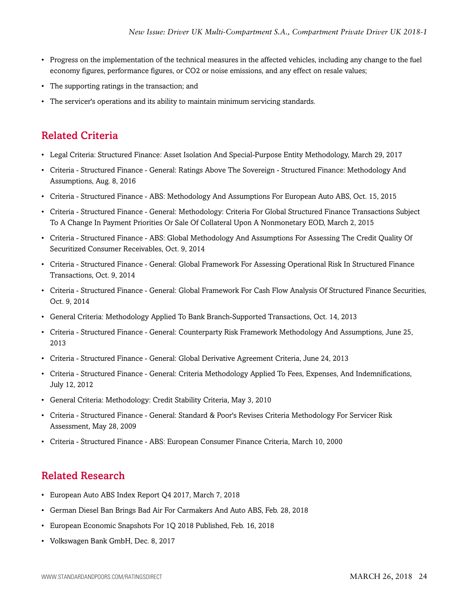- Progress on the implementation of the technical measures in the affected vehicles, including any change to the fuel economy figures, performance figures, or CO2 or noise emissions, and any effect on resale values;
- The supporting ratings in the transaction; and
- The servicer's operations and its ability to maintain minimum servicing standards.

## <span id="page-23-0"></span>Related Criteria

- Legal Criteria: Structured Finance: Asset Isolation And Special-Purpose Entity Methodology, March 29, 2017
- Criteria Structured Finance General: Ratings Above The Sovereign Structured Finance: Methodology And Assumptions, Aug. 8, 2016
- Criteria Structured Finance ABS: Methodology And Assumptions For European Auto ABS, Oct. 15, 2015
- Criteria Structured Finance General: Methodology: Criteria For Global Structured Finance Transactions Subject To A Change In Payment Priorities Or Sale Of Collateral Upon A Nonmonetary EOD, March 2, 2015
- Criteria Structured Finance ABS: Global Methodology And Assumptions For Assessing The Credit Quality Of Securitized Consumer Receivables, Oct. 9, 2014
- Criteria Structured Finance General: Global Framework For Assessing Operational Risk In Structured Finance Transactions, Oct. 9, 2014
- Criteria Structured Finance General: Global Framework For Cash Flow Analysis Of Structured Finance Securities, Oct. 9, 2014
- General Criteria: Methodology Applied To Bank Branch-Supported Transactions, Oct. 14, 2013
- Criteria Structured Finance General: Counterparty Risk Framework Methodology And Assumptions, June 25, 2013
- Criteria Structured Finance General: Global Derivative Agreement Criteria, June 24, 2013
- Criteria Structured Finance General: Criteria Methodology Applied To Fees, Expenses, And Indemnifications, July 12, 2012
- General Criteria: Methodology: Credit Stability Criteria, May 3, 2010
- Criteria Structured Finance General: Standard & Poor's Revises Criteria Methodology For Servicer Risk Assessment, May 28, 2009
- Criteria Structured Finance ABS: European Consumer Finance Criteria, March 10, 2000

## <span id="page-23-1"></span>Related Research

- European Auto ABS Index Report Q4 2017, March 7, 2018
- German Diesel Ban Brings Bad Air For Carmakers And Auto ABS, Feb. 28, 2018
- European Economic Snapshots For 1Q 2018 Published, Feb. 16, 2018
- Volkswagen Bank GmbH, Dec. 8, 2017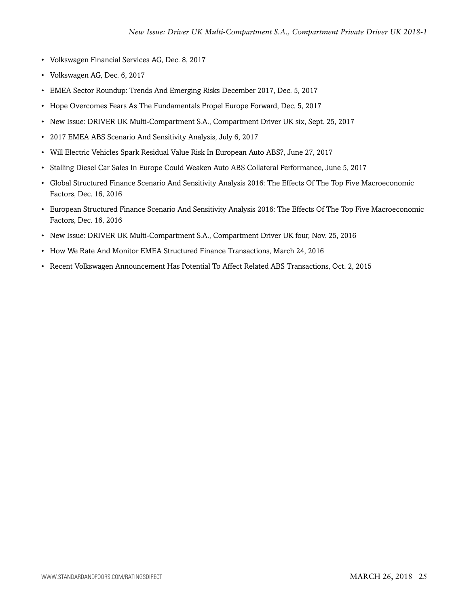- Volkswagen Financial Services AG, Dec. 8, 2017
- Volkswagen AG, Dec. 6, 2017
- EMEA Sector Roundup: Trends And Emerging Risks December 2017, Dec. 5, 2017
- Hope Overcomes Fears As The Fundamentals Propel Europe Forward, Dec. 5, 2017
- New Issue: DRIVER UK Multi-Compartment S.A., Compartment Driver UK six, Sept. 25, 2017
- 2017 EMEA ABS Scenario And Sensitivity Analysis, July 6, 2017
- Will Electric Vehicles Spark Residual Value Risk In European Auto ABS?, June 27, 2017
- Stalling Diesel Car Sales In Europe Could Weaken Auto ABS Collateral Performance, June 5, 2017
- Global Structured Finance Scenario And Sensitivity Analysis 2016: The Effects Of The Top Five Macroeconomic Factors, Dec. 16, 2016
- European Structured Finance Scenario And Sensitivity Analysis 2016: The Effects Of The Top Five Macroeconomic Factors, Dec. 16, 2016
- New Issue: DRIVER UK Multi-Compartment S.A., Compartment Driver UK four, Nov. 25, 2016
- How We Rate And Monitor EMEA Structured Finance Transactions, March 24, 2016
- Recent Volkswagen Announcement Has Potential To Affect Related ABS Transactions, Oct. 2, 2015